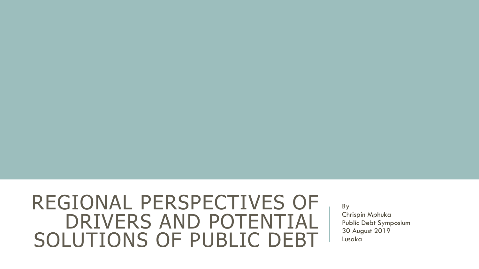#### REGIONAL PERSPECTIVES OF DRIVERS AND POTENTIAL SOLUTIONS OF PUBLIC DEBT

By Chrispin Mphuka Public Debt Symposium 30 August 2019 Lusaka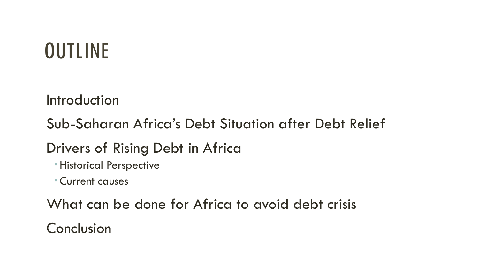# **OUTLINE**

**Introduction** 

Sub-Saharan Africa's Debt Situation after Debt Relief

Drivers of Rising Debt in Africa

Historical Perspective

Current causes

What can be done for Africa to avoid debt crisis

Conclusion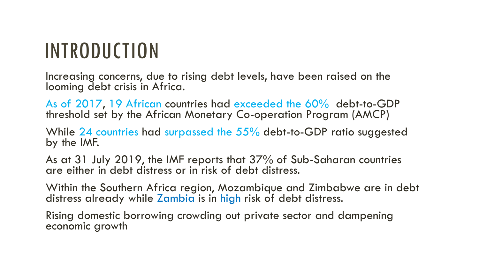# INTRODUCTION

Increasing concerns, due to rising debt levels, have been raised on the looming debt crisis in Africa.

As of 2017, 19 African countries had exceeded the 60% debt-to-GDP threshold set by the African Monetary Co-operation Program (AMCP)

While 24 countries had surpassed the 55% debt-to-GDP ratio suggested by the IMF.

As at 31 July 2019, the IMF reports that 37% of Sub-Saharan countries are either in debt distress or in risk of debt distress.

Within the Southern Africa region, Mozambique and Zimbabwe are in debt distress already while Zambia is in high risk of debt distress.

Rising domestic borrowing crowding out private sector and dampening economic growth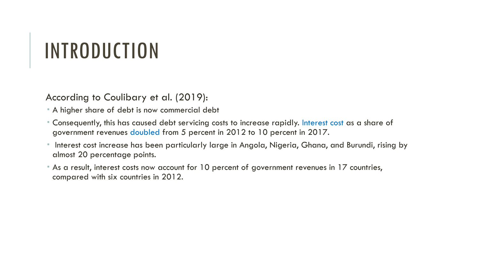## INTRODUCTION

According to Coulibary et al. (2019):

- A higher share of debt is now commercial debt
- Consequently, this has caused debt servicing costs to increase rapidly. Interest cost as a share of government revenues doubled from 5 percent in 2012 to 10 percent in 2017.
- Interest cost increase has been particularly large in Angola, Nigeria, Ghana, and Burundi, rising by almost 20 percentage points.
- As a result, interest costs now account for 10 percent of government revenues in 17 countries, compared with six countries in 2012.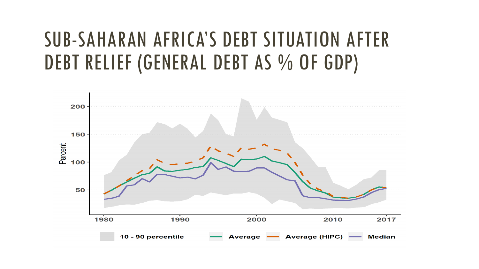#### SUB-SAHARAN AFRICA'S DEBT SITUATION AFTER DEBT RELIEF (GENERAL DEBT AS % OF GDP)

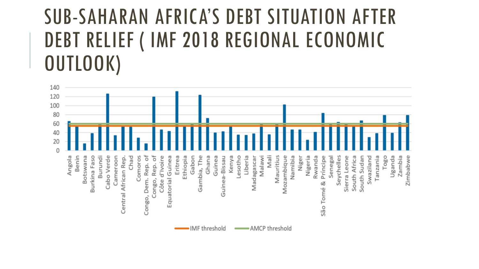#### SUB-SAHARAN AFRICA'S DEBT SITUATION AFTER DEBT RELIEF ( IMF 2018 REGIONAL ECONOMIC OUTLOOK)

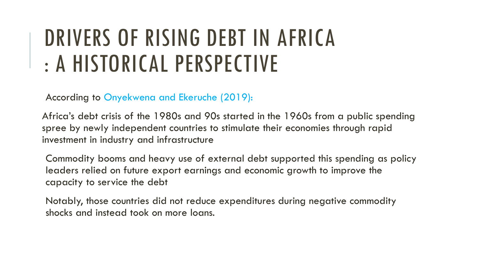# DRIVERS OF RISING DEBT IN AFRICA : A HISTORICAL PERSPECTIVE

According to Onyekwena and Ekeruche (2019):

Africa's debt crisis of the 1980s and 90s started in the 1960s from a public spending spree by newly independent countries to stimulate their economies through rapid investment in industry and infrastructure

Commodity booms and heavy use of external debt supported this spending as policy leaders relied on future export earnings and economic growth to improve the capacity to service the debt

Notably, those countries did not reduce expenditures during negative commodity shocks and instead took on more loans.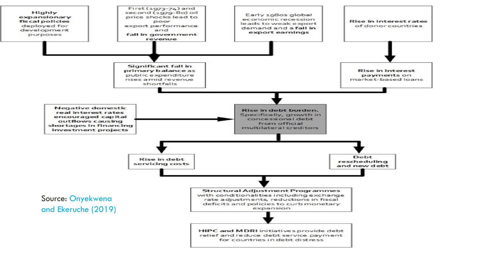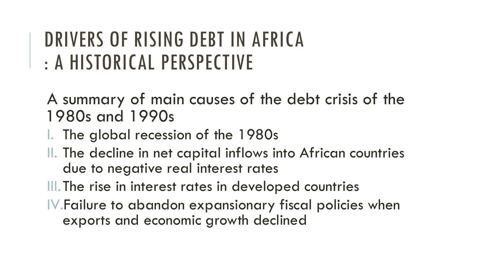#### DRIVERS OF RISING DEBT IN AFRICA : A HISTORICAL PERSPECTIVE

A summary of main causes of the debt crisis of the 1980s and 1990s

- I. The global recession of the 1980s
- II. The decline in net capital inflows into African countries due to negative real interest rates

III. The rise in interest rates in developed countries

IV.Failure to abandon expansionary fiscal policies when exports and economic growth declined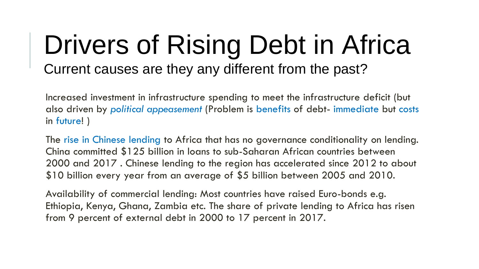#### Drivers of Rising Debt in Africa Current causes are they any different from the past?

Increased investment in infrastructure spending to meet the infrastructure deficit (but also driven by *political appeasement* (Problem is benefits of debt- immediate but costs in future! )

The rise in Chinese lending to Africa that has no governance conditionality on lending. China committed \$125 billion in loans to sub-Saharan African countries between 2000 and 2017 . Chinese lending to the region has accelerated since 2012 to about \$10 billion every year from an average of \$5 billion between 2005 and 2010.

Availability of commercial lending: Most countries have raised Euro-bonds e.g. Ethiopia, Kenya, Ghana, Zambia etc. The share of private lending to Africa has risen from 9 percent of external debt in 2000 to 17 percent in 2017.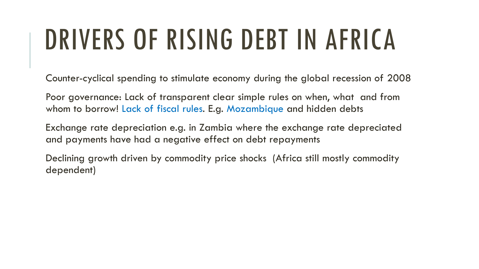# DRIVERS OF RISING DEBT IN AFRICA

Counter-cyclical spending to stimulate economy during the global recession of 2008

Poor governance: Lack of transparent clear simple rules on when, what and from whom to borrow! Lack of fiscal rules. E.g. Mozambique and hidden debts

Exchange rate depreciation e.g. in Zambia where the exchange rate depreciated and payments have had a negative effect on debt repayments

Declining growth driven by commodity price shocks (Africa still mostly commodity dependent)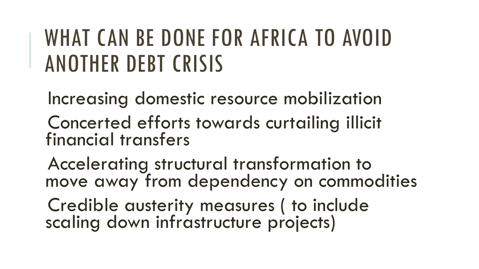# WHAT CAN BE DONE FOR AFRICA TO AVOID ANOTHER DEBT CRISIS

Increasing domestic resource mobilization

Concerted efforts towards curtailing illicit financial transfers

Accelerating structural transformation to move away from dependency on commodities

Credible austerity measures ( to include scaling down infrastructure projects)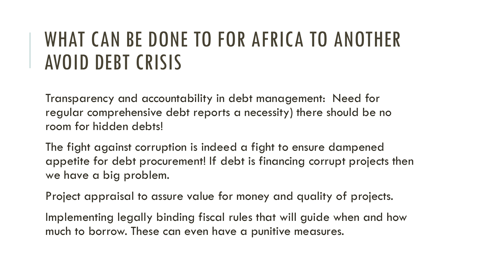#### WHAT CAN BE DONE TO FOR AFRICA TO ANOTHER AVOID DEBT CRISIS

Transparency and accountability in debt management: Need for regular comprehensive debt reports a necessity) there should be no room for hidden debts!

The fight against corruption is indeed a fight to ensure dampened appetite for debt procurement! If debt is financing corrupt projects then we have a big problem.

Project appraisal to assure value for money and quality of projects.

Implementing legally binding fiscal rules that will guide when and how much to borrow. These can even have a punitive measures.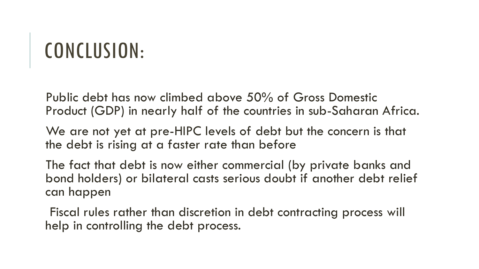### CONCLUSION:

Public debt has now climbed above 50% of Gross Domestic Product (GDP) in nearly half of the countries in sub-Saharan Africa.

We are not yet at pre-HIPC levels of debt but the concern is that the debt is rising at a faster rate than before

The fact that debt is now either commercial (by private banks and bond holders) or bilateral casts serious doubt if another debt relief can happen

Fiscal rules rather than discretion in debt contracting process will help in controlling the debt process.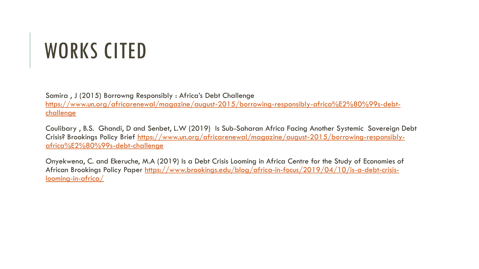# WORKS CITED

Samira , J (2015) Borrowng Responsibly : Africa's Debt Challenge

[https://www.un.org/africarenewal/magazine/august-2015/borrowing-responsibly-africa%E2%80%99s-debt](https://www.un.org/africarenewal/magazine/august-2015/borrowing-responsibly-africa%E2%80%99s-debt-challenge)**challenge** 

Coulibary , B.S. Ghandi, D and Senbet, L.W (2019) Is Sub-Saharan Africa Facing Another Systemic Sovereign Debt [Crisis? Brookings Policy Brief https://www.un.org/africarenewal/magazine/august-2015/borrowing-responsibly](https://www.un.org/africarenewal/magazine/august-2015/borrowing-responsibly-africa%E2%80%99s-debt-challenge)africa%E2%80%99s-debt-challenge

Onyekwena, C. and Ekeruche, M.A (2019) Is a Debt Crisis Looming in Africa Centre for the Study of Economies of [African Brookings Policy Paper https://www.brookings.edu/blog/africa-in-focus/2019/04/10/is-a-debt-crisis](https://www.brookings.edu/blog/africa-in-focus/2019/04/10/is-a-debt-crisis-looming-in-africa/)looming-in-africa/